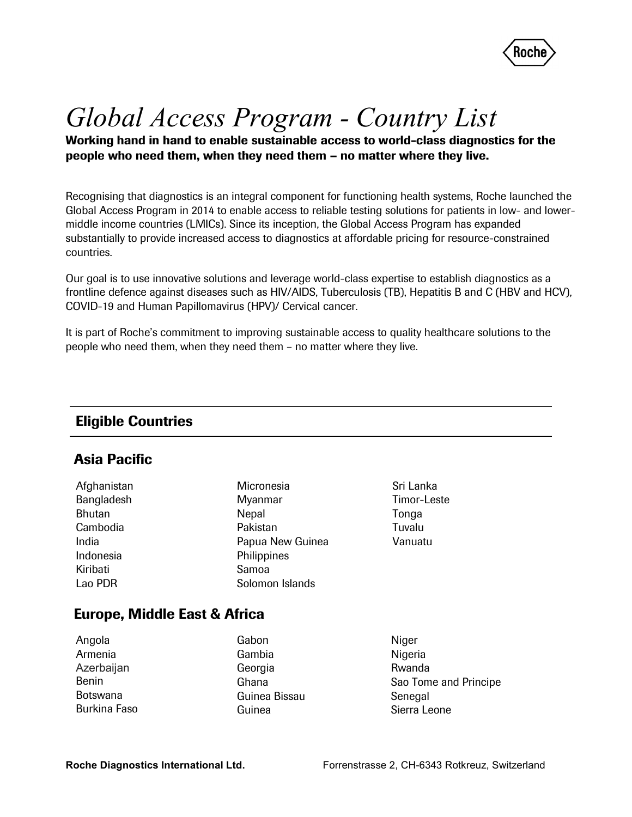

# Global Access Program - Country List

Working hand in hand to enable sustainable access to world-class diagnostics for the people who need them, when they need them – no matter where they live.

Recognising that diagnostics is an integral component for functioning health systems, Roche launched the Global Access Program in 2014 to enable access to reliable testing solutions for patients in low- and lowermiddle income countries (LMICs). Since its inception, the Global Access Program has expanded substantially to provide increased access to diagnostics at affordable pricing for resource-constrained countries.

Our goal is to use innovative solutions and leverage world-class expertise to establish diagnostics as a frontline defence against diseases such as HIV/AIDS, Tuberculosis (TB), Hepatitis B and C (HBV and HCV), COVID-19 and Human Papillomavirus (HPV)/ Cervical cancer.

It is part of Roche's commitment to improving sustainable access to quality healthcare solutions to the people who need them, when they need them – no matter where they live.

### Eligible Countries

#### Asia Pacific

| Afghanistan |
|-------------|
| Bangladesh  |
| Bhutan      |
| Cambodia    |
| India       |
| Indonesia   |
| Kiribati    |
| Lao PDR     |

Micronesia Myanmar **Nepal** Pakistan Papua New Guinea **Philippines** Samoa Solomon Islands

Sri Lanka Timor-Leste **Tonga** Tuvalu Vanuatu

#### Europe, Middle East & Africa

| Angola       |
|--------------|
| Armenia      |
| Azerbaijan   |
| <b>Benin</b> |
| Botswana     |
| Burkina Faso |

Gabon Gambia Georgia Ghana Guinea Bissau Guinea

Niger Nigeria Rwanda Sao Tome and Principe Senegal Sierra Leone